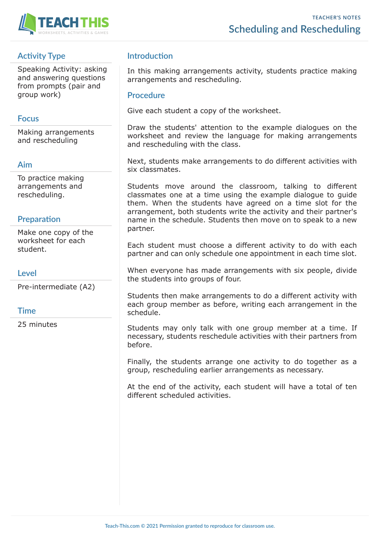

# **Activity Type**

Speaking Activity: asking and answering questions from prompts (pair and group work)

## **Focus**

Making arrangements and rescheduling

## **Aim**

To practice making arrangements and rescheduling.

# **Preparation**

Make one copy of the worksheet for each student.

# **Level**

Pre-intermediate (A2)

## **Time**

25 minutes

# **Introduction**

In this making arrangements activity, students practice making arrangements and rescheduling.

### **Procedure**

Give each student a copy of the worksheet.

Draw the students' attention to the example dialogues on the worksheet and review the language for making arrangements and rescheduling with the class.

Next, students make arrangements to do different activities with six classmates.

Students move around the classroom, talking to different classmates one at a time using the example dialogue to guide them. When the students have agreed on a time slot for the arrangement, both students write the activity and their partner's name in the schedule. Students then move on to speak to a new partner.

Each student must choose a different activity to do with each partner and can only schedule one appointment in each time slot.

When everyone has made arrangements with six people, divide the students into groups of four.

Students then make arrangements to do a different activity with each group member as before, writing each arrangement in the schedule.

Students may only talk with one group member at a time. If necessary, students reschedule activities with their partners from before.

Finally, the students arrange one activity to do together as a group, rescheduling earlier arrangements as necessary.

At the end of the activity, each student will have a total of ten different scheduled activities.